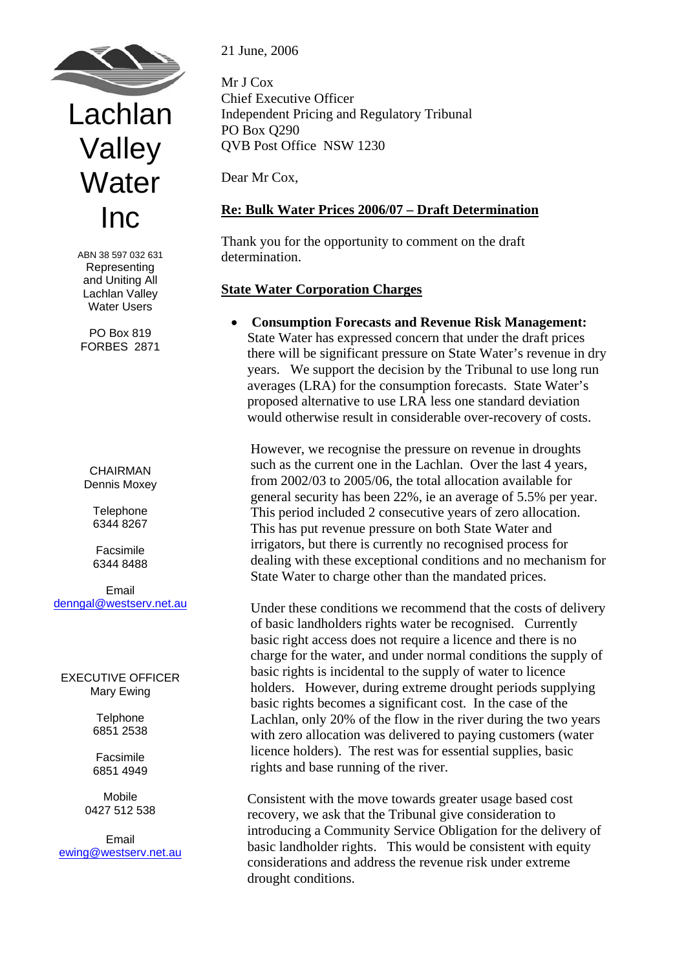

# Lachlan Valley **Water** Inc

ABN 38 597 032 631 Representing and Uniting All Lachlan Valley Water Users

PO Box 819 FORBES 2871

CHAIRMAN Dennis Moxey

> **Telephone** 6344 8267

Facsimile 6344 8488

Email [denngal@westserv.net.au](mailto:denngal@westserv.net.au)

EXECUTIVE OFFICER Mary Ewing

> **Telphone** 6851 2538

> Facsimile 6851 4949

Mobile 0427 512 538

Email ewing@westserv.net.au 21 June, 2006

Mr J Cox Chief Executive Officer Independent Pricing and Regulatory Tribunal PO Box Q290 QVB Post Office NSW 1230

Dear Mr Cox,

# **Re: Bulk Water Prices 2006/07 – Draft Determination**

Thank you for the opportunity to comment on the draft determination.

## **State Water Corporation Charges**

• **Consumption Forecasts and Revenue Risk Management:** State Water has expressed concern that under the draft prices there will be significant pressure on State Water's revenue in dry years. We support the decision by the Tribunal to use long run averages (LRA) for the consumption forecasts. State Water's proposed alternative to use LRA less one standard deviation would otherwise result in considerable over-recovery of costs.

 However, we recognise the pressure on revenue in droughts such as the current one in the Lachlan. Over the last 4 years, from 2002/03 to 2005/06, the total allocation available for general security has been 22%, ie an average of 5.5% per year. This period included 2 consecutive years of zero allocation. This has put revenue pressure on both State Water and irrigators, but there is currently no recognised process for dealing with these exceptional conditions and no mechanism for State Water to charge other than the mandated prices.

Under these conditions we recommend that the costs of delivery of basic landholders rights water be recognised. Currently basic right access does not require a licence and there is no charge for the water, and under normal conditions the supply of basic rights is incidental to the supply of water to licence holders. However, during extreme drought periods supplying basic rights becomes a significant cost. In the case of the Lachlan, only 20% of the flow in the river during the two years with zero allocation was delivered to paying customers (water licence holders). The rest was for essential supplies, basic rights and base running of the river.

Consistent with the move towards greater usage based cost recovery, we ask that the Tribunal give consideration to introducing a Community Service Obligation for the delivery of basic landholder rights. This would be consistent with equity considerations and address the revenue risk under extreme drought conditions.